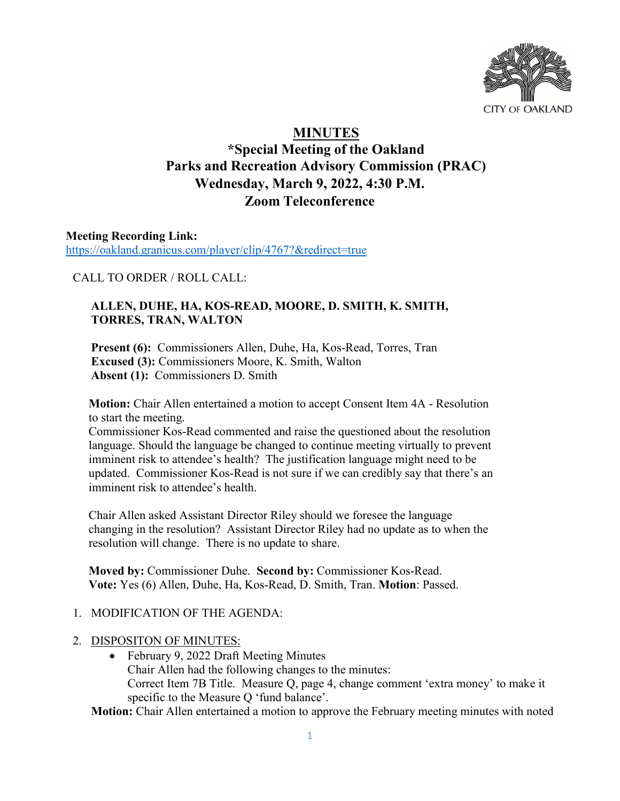

# **MINUTES**

## **\*Special Meeting of the Oakland Parks and Recreation Advisory Commission (PRAC) Wednesday, March 9, 2022, 4:30 P.M. Zoom Teleconference**

**Meeting Recording Link:**  <https://oakland.granicus.com/player/clip/4767?&redirect=true>

CALL TO ORDER / ROLL CALL:

## **ALLEN, DUHE, HA, KOS-READ, MOORE, D. SMITH, K. SMITH, TORRES, TRAN, WALTON**

**Present (6):** Commissioners Allen, Duhe, Ha, Kos-Read, Torres, Tran **Excused (3):** Commissioners Moore, K. Smith, Walton **Absent (1):** Commissioners D. Smith

**Motion:** Chair Allen entertained a motion to accept Consent Item 4A - Resolution to start the meeting.

Commissioner Kos-Read commented and raise the questioned about the resolution language. Should the language be changed to continue meeting virtually to prevent imminent risk to attendee's health? The justification language might need to be updated. Commissioner Kos-Read is not sure if we can credibly say that there's an imminent risk to attendee's health.

Chair Allen asked Assistant Director Riley should we foresee the language changing in the resolution? Assistant Director Riley had no update as to when the resolution will change. There is no update to share.

**Moved by:** Commissioner Duhe. **Second by:** Commissioner Kos-Read. **Vote:** Yes (6) Allen, Duhe, Ha, Kos-Read, D. Smith, Tran. **Motion**: Passed.

## 1. MODIFICATION OF THE AGENDA:

- 2. DISPOSITON OF MINUTES:
	- February 9, 2022 Draft Meeting Minutes Chair Allen had the following changes to the minutes: Correct Item 7B Title. Measure Q, page 4, change comment 'extra money' to make it specific to the Measure Q 'fund balance'.

**Motion:** Chair Allen entertained a motion to approve the February meeting minutes with noted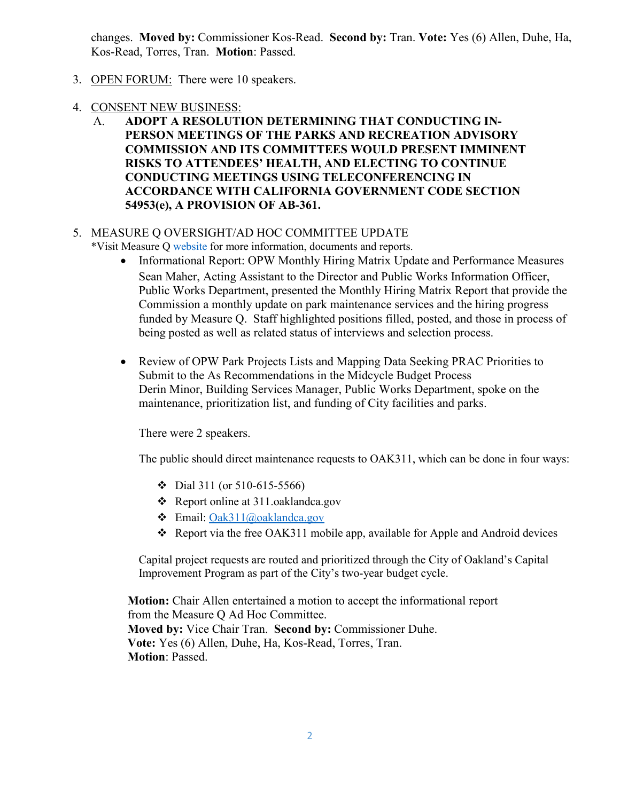changes. **Moved by:** Commissioner Kos-Read. **Second by:** Tran. **Vote:** Yes (6) Allen, Duhe, Ha, Kos-Read, Torres, Tran. **Motion**: Passed.

- 3. OPEN FORUM: There were 10 speakers.
- 4. CONSENT NEW BUSINESS:
	- A. **ADOPT A RESOLUTION DETERMINING THAT CONDUCTING IN-PERSON MEETINGS OF THE PARKS AND RECREATION ADVISORY COMMISSION AND ITS COMMITTEES WOULD PRESENT IMMINENT RISKS TO ATTENDEES' HEALTH, AND ELECTING TO CONTINUE CONDUCTING MEETINGS USING TELECONFERENCING IN ACCORDANCE WITH CALIFORNIA GOVERNMENT CODE SECTION 54953(e), A PROVISION OF AB-361.**

#### 5. MEASURE Q OVERSIGHT/AD HOC COMMITTEE UPDATE

- \*Visit Measure Q [website](https://www.oaklandca.gov/topics/measure-q#:%7E:text=Oakland%20voters%20passed%20Measure%20Q,landscape%20maintenance%2C%20and%20recreational%20services.) for more information, documents and reports.
	- Informational Report: OPW Monthly Hiring Matrix Update and Performance Measures Sean Maher, Acting Assistant to the Director and Public Works Information Officer, Public Works Department, presented the Monthly Hiring Matrix Report that provide the Commission a monthly update on park maintenance services and the hiring progress funded by Measure Q. Staff highlighted positions filled, posted, and those in process of being posted as well as related status of interviews and selection process.
	- Review of OPW Park Projects Lists and Mapping Data Seeking PRAC Priorities to Submit to the As Recommendations in the Midcycle Budget Process Derin Minor, Building Services Manager, Public Works Department, spoke on the maintenance, prioritization list, and funding of City facilities and parks.

There were 2 speakers.

The public should direct maintenance requests to OAK311, which can be done in four ways:

- $\div$  Dial 311 (or 510-615-5566)
- Report online at 311.oaklandca.gov
- Email: [Oak311@oaklandca.gov](mailto:Oak311@oaklandca.gov)
- Report via the free OAK311 mobile app, available for Apple and Android devices

Capital project requests are routed and prioritized through the City of Oakland's Capital Improvement Program as part of the City's two-year budget cycle.

**Motion:** Chair Allen entertained a motion to accept the informational report from the Measure Q Ad Hoc Committee. **Moved by:** Vice Chair Tran. **Second by:** Commissioner Duhe. **Vote:** Yes (6) Allen, Duhe, Ha, Kos-Read, Torres, Tran. **Motion**: Passed.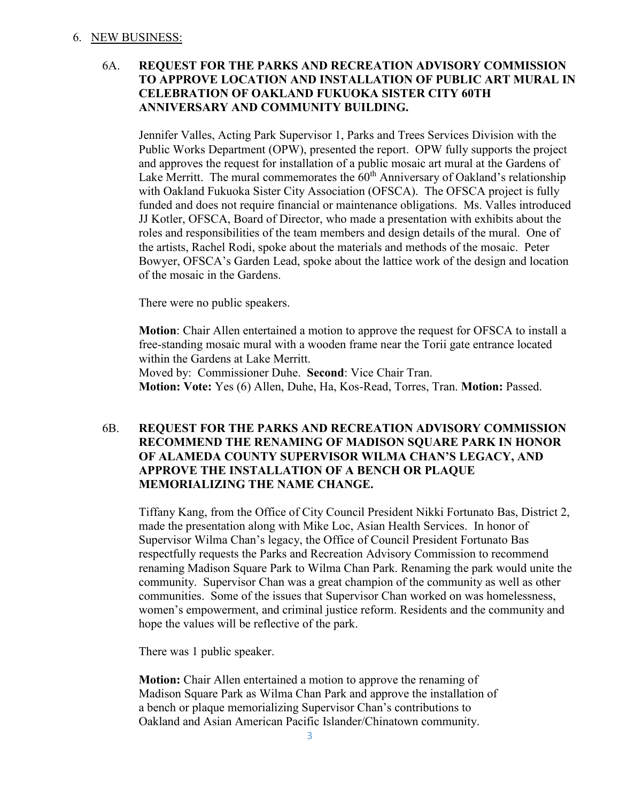#### 6. NEW BUSINESS:

#### 6A. **REQUEST FOR THE PARKS AND RECREATION ADVISORY COMMISSION TO APPROVE LOCATION AND INSTALLATION OF PUBLIC ART MURAL IN CELEBRATION OF OAKLAND FUKUOKA SISTER CITY 60TH ANNIVERSARY AND COMMUNITY BUILDING.**

Jennifer Valles, Acting Park Supervisor 1, Parks and Trees Services Division with the Public Works Department (OPW), presented the report. OPW fully supports the project and approves the request for installation of a public mosaic art mural at the Gardens of Lake Merritt. The mural commemorates the  $60<sup>th</sup>$  Anniversary of Oakland's relationship with Oakland Fukuoka Sister City Association (OFSCA). The OFSCA project is fully funded and does not require financial or maintenance obligations. Ms. Valles introduced JJ Kotler, OFSCA, Board of Director, who made a presentation with exhibits about the roles and responsibilities of the team members and design details of the mural. One of the artists, Rachel Rodi, spoke about the materials and methods of the mosaic. Peter Bowyer, OFSCA's Garden Lead, spoke about the lattice work of the design and location of the mosaic in the Gardens.

There were no public speakers.

**Motion**: Chair Allen entertained a motion to approve the request for OFSCA to install a free-standing mosaic mural with a wooden frame near the Torii gate entrance located within the Gardens at Lake Merritt. Moved by: Commissioner Duhe. **Second**: Vice Chair Tran. **Motion: Vote:** Yes (6) Allen, Duhe, Ha, Kos-Read, Torres, Tran. **Motion:** Passed.

#### 6B. **REQUEST FOR THE PARKS AND RECREATION ADVISORY COMMISSION RECOMMEND THE RENAMING OF MADISON SQUARE PARK IN HONOR OF ALAMEDA COUNTY SUPERVISOR WILMA CHAN'S LEGACY, AND APPROVE THE INSTALLATION OF A BENCH OR PLAQUE MEMORIALIZING THE NAME CHANGE.**

Tiffany Kang, from the Office of City Council President Nikki Fortunato Bas, District 2, made the presentation along with Mike Loc, Asian Health Services. In honor of Supervisor Wilma Chan's legacy, the Office of Council President Fortunato Bas respectfully requests the Parks and Recreation Advisory Commission to recommend renaming Madison Square Park to Wilma Chan Park. Renaming the park would unite the community. Supervisor Chan was a great champion of the community as well as other communities. Some of the issues that Supervisor Chan worked on was homelessness, women's empowerment, and criminal justice reform. Residents and the community and hope the values will be reflective of the park.

There was 1 public speaker.

**Motion:** Chair Allen entertained a motion to approve the renaming of Madison Square Park as Wilma Chan Park and approve the installation of a bench or plaque memorializing Supervisor Chan's contributions to Oakland and Asian American Pacific Islander/Chinatown community.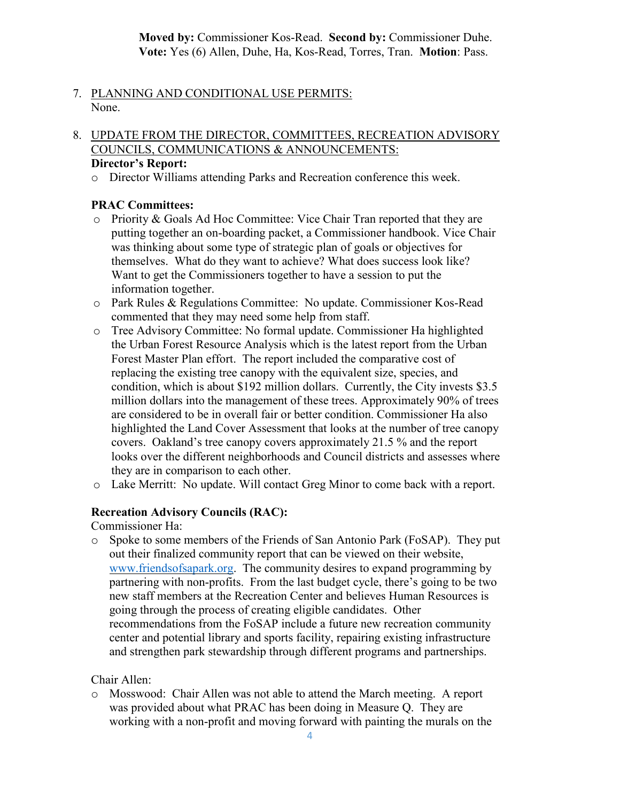**Moved by:** Commissioner Kos-Read. **Second by:** Commissioner Duhe. **Vote:** Yes (6) Allen, Duhe, Ha, Kos-Read, Torres, Tran. **Motion**: Pass.

- 7. PLANNING AND CONDITIONAL USE PERMITS: None.
- 8. UPDATE FROM THE DIRECTOR, COMMITTEES, RECREATION ADVISORY COUNCILS, COMMUNICATIONS & ANNOUNCEMENTS:

## **Director's Report:**

o Director Williams attending Parks and Recreation conference this week.

#### **PRAC Committees:**

- o Priority & Goals Ad Hoc Committee: Vice Chair Tran reported that they are putting together an on-boarding packet, a Commissioner handbook. Vice Chair was thinking about some type of strategic plan of goals or objectives for themselves. What do they want to achieve? What does success look like? Want to get the Commissioners together to have a session to put the information together.
- o Park Rules & Regulations Committee: No update. Commissioner Kos-Read commented that they may need some help from staff.
- o Tree Advisory Committee: No formal update. Commissioner Ha highlighted the Urban Forest Resource Analysis which is the latest report from the Urban Forest Master Plan effort. The report included the comparative cost of replacing the existing tree canopy with the equivalent size, species, and condition, which is about \$192 million dollars. Currently, the City invests \$3.5 million dollars into the management of these trees. Approximately 90% of trees are considered to be in overall fair or better condition. Commissioner Ha also highlighted the Land Cover Assessment that looks at the number of tree canopy covers. Oakland's tree canopy covers approximately 21.5 % and the report looks over the different neighborhoods and Council districts and assesses where they are in comparison to each other.
- o Lake Merritt: No update. Will contact Greg Minor to come back with a report.

#### **Recreation Advisory Councils (RAC):**

Commissioner Ha:

o Spoke to some members of the Friends of San Antonio Park (FoSAP). They put out their finalized community report that can be viewed on their website, [www.friendsofsapark.org.](http://www.friendsofsapark.org/) The community desires to expand programming by partnering with non-profits. From the last budget cycle, there's going to be two new staff members at the Recreation Center and believes Human Resources is going through the process of creating eligible candidates. Other recommendations from the FoSAP include a future new recreation community center and potential library and sports facility, repairing existing infrastructure and strengthen park stewardship through different programs and partnerships.

## Chair Allen:

o Mosswood: Chair Allen was not able to attend the March meeting. A report was provided about what PRAC has been doing in Measure Q. They are working with a non-profit and moving forward with painting the murals on the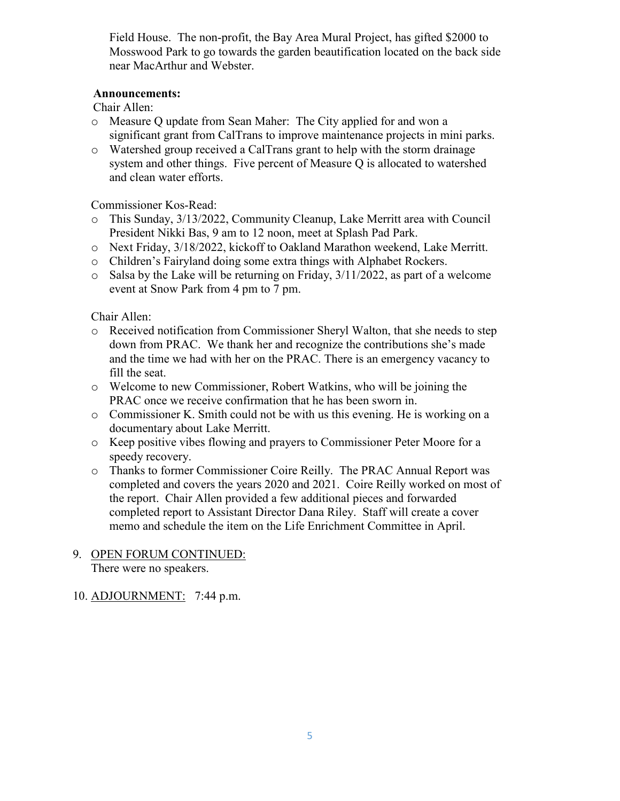Field House. The non-profit, the Bay Area Mural Project, has gifted \$2000 to Mosswood Park to go towards the garden beautification located on the back side near MacArthur and Webster.

#### **Announcements:**

Chair Allen:

- o Measure Q update from Sean Maher: The City applied for and won a significant grant from CalTrans to improve maintenance projects in mini parks.
- o Watershed group received a CalTrans grant to help with the storm drainage system and other things. Five percent of Measure Q is allocated to watershed and clean water efforts.

Commissioner Kos-Read:

- o This Sunday, 3/13/2022, Community Cleanup, Lake Merritt area with Council President Nikki Bas, 9 am to 12 noon, meet at Splash Pad Park.
- o Next Friday, 3/18/2022, kickoff to Oakland Marathon weekend, Lake Merritt.
- o Children's Fairyland doing some extra things with Alphabet Rockers.
- $\circ$  Salsa by the Lake will be returning on Friday, 3/11/2022, as part of a welcome event at Snow Park from 4 pm to 7 pm.

Chair Allen:

- o Received notification from Commissioner Sheryl Walton, that she needs to step down from PRAC. We thank her and recognize the contributions she's made and the time we had with her on the PRAC. There is an emergency vacancy to fill the seat.
- o Welcome to new Commissioner, Robert Watkins, who will be joining the PRAC once we receive confirmation that he has been sworn in.
- o Commissioner K. Smith could not be with us this evening. He is working on a documentary about Lake Merritt.
- o Keep positive vibes flowing and prayers to Commissioner Peter Moore for a speedy recovery.
- o Thanks to former Commissioner Coire Reilly. The PRAC Annual Report was completed and covers the years 2020 and 2021. Coire Reilly worked on most of the report. Chair Allen provided a few additional pieces and forwarded completed report to Assistant Director Dana Riley. Staff will create a cover memo and schedule the item on the Life Enrichment Committee in April.

#### 9. OPEN FORUM CONTINUED: There were no speakers.

## 10. ADJOURNMENT: 7:44 p.m.